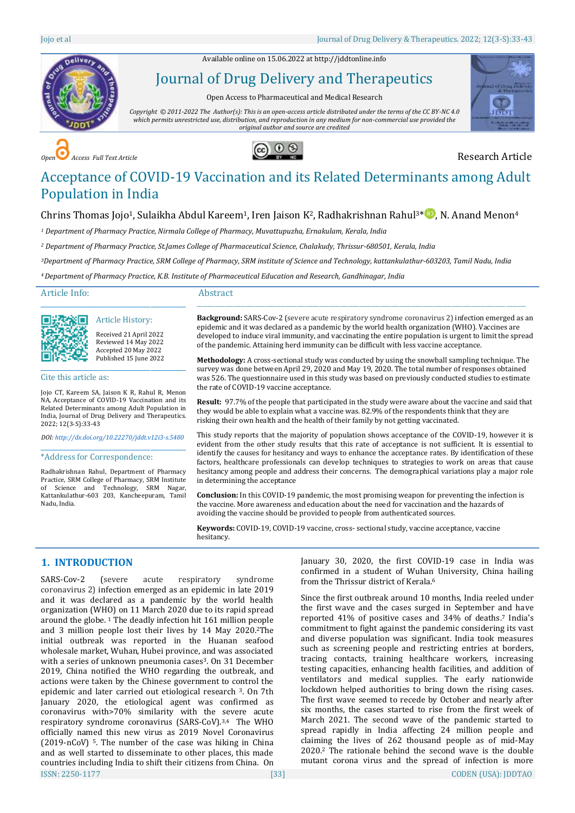Available online on 15.06.2022 a[t http://jddtonline.info](http://jddtonline.info/)



Journal of Drug Delivery and Therapeutics

Open Access to Pharmaceutical and Medical Research

*Copyright © 2011-2022 The Author(s): This is an open-access article distributed under the terms of the CC BY-NC 4.0 which permits unrestricted use, distribution, and reproduction in any medium for non-commercial use provided the original author and source are credited*



*Access Full Text Article* **Copen 2 Copen 2 Copen 2 Copen 2 Copen 2 Copen 2 Research Article** 



# Acceptance of COVID-19 Vaccination and its Related Determinants among Adult Population in India

## Chrins Thomas Jojo<sup>1</sup>, Sulaikha Abdul Kareem<sup>1</sup>, Iren Jaison K<sup>2</sup>, Radhakrishnan Rahul<sup>3[\\*](http://orcid.org/0000-0002-8330-6464)</sup><sup>10</sup>, N. Anand Menon<sup>4</sup>

*<sup>1</sup> Department of Pharmacy Practice, Nirmala College of Pharmacy, Muvattupuzha, Ernakulam, Kerala, India*

*<sup>2</sup> Department of Pharmacy Practice, St.James College of Pharmaceutical Science, Chalakudy, Thrissur-680501, Kerala, India*

*<sup>3</sup>Department of Pharmacy Practice, SRM College of Pharmacy, SRM institute of Science and Technology, kattankulathur-603203, Tamil Nadu, India*

*<sup>4</sup>Department of Pharmacy Practice, K.B. Institute of Pharmaceutical Education and Research, Gandhinagar, India*

Article Info:

同学教会

Cite this article as:

ञ⊓

2022; 12(3-S):33-43

Nadu, India.

\_\_\_\_\_\_\_\_\_\_\_\_\_\_\_\_\_\_\_\_\_\_\_\_\_\_\_\_\_\_\_\_\_\_\_\_\_\_\_\_\_\_\_\_\_ Article History: Received 21 April 2022 Reviewed 14 May 2022 Accepted 20 May 2022 Published 15 June 2022

\_\_\_\_\_\_\_\_\_\_\_\_\_\_\_\_\_\_\_\_\_\_\_\_\_\_\_\_\_\_\_\_\_\_\_\_\_\_\_\_\_\_\_\_\_

Jojo CT, Kareem SA, Jaison K R, Rahul R, Menon NA, Acceptance of COVID-19 Vaccination and its Related Determinants among Adult Population in India, Journal of Drug Delivery and Therapeutics.

*DOI[: http://dx.doi.org/10.22270/jddt.v12i3-s.5480](http://dx.doi.org/10.22270/jddt.v12i3-s.5480)*  \_\_\_\_\_\_\_\_\_\_\_\_\_\_\_\_\_\_\_\_\_\_\_\_\_\_\_\_\_\_\_\_\_\_\_\_\_\_\_\_\_\_\_\_\_

Radhakrishnan Rahul, Department of Pharmacy Practice, SRM College of Pharmacy, SRM Institute of Science and Technology, SRM Nagar, Kattankulathur-603 203, Kancheepuram, Tamil

\*Address for Correspondence:

#### Abstract

**Background:** SARS-Cov-2 (severe acute respiratory syndrome coronavirus 2) infection emerged as an epidemic and it was declared as a pandemic by the world health organization (WHO). Vaccines are developed to induce viral immunity, and vaccinating the entire population is urgent to limit the spread of the pandemic. Attaining herd immunity can be difficult with less vaccine acceptance.

\_\_\_\_\_\_\_\_\_\_\_\_\_\_\_\_\_\_\_\_\_\_\_\_\_\_\_\_\_\_\_\_\_\_\_\_\_\_\_\_\_\_\_\_\_\_\_\_\_\_\_\_\_\_\_\_\_\_\_\_\_\_\_\_\_\_\_\_\_\_\_\_\_\_\_\_\_\_\_\_\_\_\_\_\_\_\_\_\_\_\_\_\_\_\_\_\_\_\_\_\_\_\_\_\_\_\_\_\_\_\_\_\_\_\_

**Methodology:** A cross-sectional study was conducted by using the snowball sampling technique. The survey was done between April 29, 2020 and May 19, 2020. The total number of responses obtained was 526. The questionnaire used in this study was based on previously conducted studies to estimate the rate of COVID-19 vaccine acceptance.

**Result:** 97.7% of the people that participated in the study were aware about the vaccine and said that they would be able to explain what a vaccine was. 82.9% of the respondents think that they are risking their own health and the health of their family by not getting vaccinated.

This study reports that the majority of population shows acceptance of the COVID-19, however it is evident from the other study results that this rate of acceptance is not sufficient. It is essential to identify the causes for hesitancy and ways to enhance the acceptance rates. By identification of these factors, healthcare professionals can develop techniques to strategies to work on areas that cause hesitancy among people and address their concerns. The demographical variations play a major role in determining the acceptance

**Conclusion:** In this COVID-19 pandemic, the most promising weapon for preventing the infection is the vaccine. More awareness and education about the need for vaccination and the hazards of avoiding the vaccine should be provided to people from authenticated sources.

**Keywords:** COVID-19, COVID-19 vaccine, cross- sectional study, vaccine acceptance, vaccine hesitancy.

## **1. INTRODUCTION**

ISSN: 2250-1177 [33] CODEN (USA): JDDTAO SARS-Cov-2 (severe acute respiratory syndrome coronavirus 2) infection emerged as an epidemic in late 2019 and it was declared as a pandemic by the world health organization (WHO) on 11 March 2020 due to its rapid spread around the globe. <sup>1</sup> The deadly infection hit 161 million people and 3 million people lost their lives by 14 May 2020. <sup>2</sup>The initial outbreak was reported in the Huanan seafood wholesale market, Wuhan, Hubei province, and was associated with a series of unknown pneumonia cases<sup>3</sup>. On 31 December 2019, China notified the WHO regarding the outbreak, and actions were taken by the Chinese government to control the epidemic and later carried out etiological research 3. On 7th January 2020, the etiological agent was confirmed as coronavirus with>70% similarity with the severe acute respiratory syndrome coronavirus (SARS-CoV). 3,4 The WHO officially named this new virus as 2019 Novel Coronavirus (2019‐nCoV) 5. The number of the case was hiking in China and as well started to disseminate to other places, this made countries including India to shift their citizens from China. On

January 30, 2020, the first COVID-19 case in India was confirmed in a student of Wuhan University, China hailing from the Thrissur district of Kerala. 6

Since the first outbreak around 10 months, India reeled under the first wave and the cases surged in September and have reported 41% of positive cases and 34% of deaths. <sup>7</sup> India's commitment to fight against the pandemic considering its vast and diverse population was significant. India took measures such as screening people and restricting entries at borders, tracing contacts, training healthcare workers, increasing testing capacities, enhancing health facilities, and addition of ventilators and medical supplies. The early nationwide lockdown helped authorities to bring down the rising cases. The first wave seemed to recede by October and nearly after six months, the cases started to rise from the first week of March 2021. The second wave of the pandemic started to spread rapidly in India affecting 24 million people and claiming the lives of 262 thousand people as of mid-May 2020. <sup>2</sup> The rationale behind the second wave is the double mutant corona virus and the spread of infection is more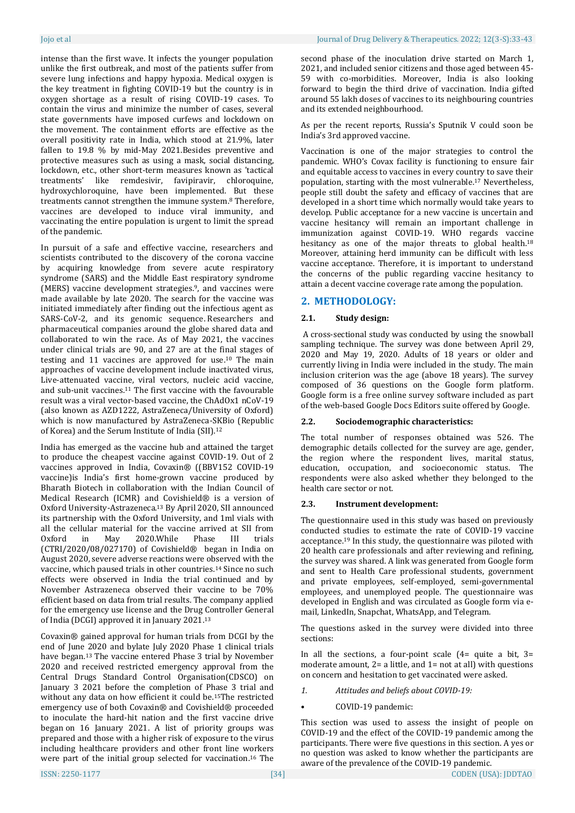intense than the first wave. It infects the younger population unlike the first outbreak, and most of the patients suffer from severe lung infections and happy hypoxia. Medical oxygen is the key treatment in fighting COVID-19 but the country is in oxygen shortage as a result of rising COVID-19 cases. To contain the virus and minimize the number of cases, several state governments have imposed curfews and lockdown on the movement. The containment efforts are effective as the overall positivity rate in India, which stood at 21.9%, later fallen to 19.8 % by mid-May 2021.Besides preventive and protective measures such as using a mask, social distancing, lockdown, etc., other short-term measures known as 'tactical treatments' like remdesivir, favipiravir, chloroquine, hydroxychloroquine, have been implemented. But these treatments cannot strengthen the immune system. <sup>8</sup> Therefore, vaccines are developed to induce viral immunity, and vaccinating the entire population is urgent to limit the spread of the pandemic.

In pursuit of a safe and effective vaccine, researchers and scientists contributed to the discovery of the corona vaccine by acquiring knowledge from severe acute respiratory syndrome (SARS) and the Middle East respiratory syndrome (MERS) vaccine development strategies. <sup>9</sup>, and vaccines were made available by late 2020. The search for the vaccine was initiated immediately after finding out the infectious agent as SARS-CoV-2, and its genomic sequence. Researchers and pharmaceutical companies around the globe shared data and collaborated to win the race. As of May 2021, the vaccines under clinical trials are 90, and 27 are at the final stages of testing and 11 vaccines are approved for use. <sup>10</sup> The main approaches of vaccine development include inactivated virus, Live-attenuated vaccine, viral vectors, nucleic acid vaccine, and sub-unit vaccines. <sup>11</sup> The first vaccine with the favourable result was a viral vector-based vaccine, the ChAdOx1 nCoV-19 (also known as AZD1222, AstraZeneca/University of Oxford) which is now manufactured by AstraZeneca-SKBio (Republic of Korea) and the Serum Institute of India (SII).<sup>12</sup>

India has emerged as the vaccine hub and attained the target to produce the cheapest vaccine against COVID-19. Out of 2 vaccines approved in India, Covaxin® ((BBV152 COVID-19 vaccine)is India's first home-grown vaccine produced by Bharath Biotech in collaboration with the Indian Council of Medical Research (ICMR) and Covishield® is a version of Oxford University-Astrazeneca. <sup>13</sup> By April 2020, SII announced its partnership with the Oxford University, and 1ml vials with all the cellular material for the vaccine arrived at SII from Oxford in May 2020.While Phase III trials (CTRI/2020/08/027170) of Covishield® began in India on August 2020, severe adverse reactions were observed with the vaccine, which paused trials in other countries. <sup>14</sup> Since no such effects were observed in India the trial continued and by November Astrazeneca observed their vaccine to be 70% efficient based on data from trial results. The company applied for the emergency use license and the Drug Controller General of India (DCGI) approved it in January 2021.<sup>13</sup>

Covaxin® gained approval for human trials from DCGI by the end of June 2020 and bylate July 2020 Phase 1 clinical trials have began. <sup>13</sup> The vaccine entered Phase 3 trial by November 2020 and received restricted emergency approval from the Central Drugs Standard Control Organisation(CDSCO) on January 3 2021 before the completion of Phase 3 trial and without any data on how efficient it could be. <sup>15</sup>The restricted emergency use of both Covaxin® and Covishield® proceeded to inoculate the hard-hit nation and the first vaccine drive began on 16 January 2021. A list of priority groups was prepared and those with a higher risk of exposure to the virus including healthcare providers and other front line workers were part of the initial group selected for vaccination. <sup>16</sup> The second phase of the inoculation drive started on March 1, 2021, and included senior citizens and those aged between 45- 59 with co-morbidities. Moreover, India is also looking forward to begin the third drive of vaccination. India gifted around 55 lakh doses of vaccines to its neighbouring countries and its extended neighbourhood.

As per the recent reports, Russia's Sputnik V could soon be India's 3rd approved vaccine.

Vaccination is one of the major strategies to control the pandemic. WHO's Covax facility is functioning to ensure fair and equitable access to vaccines in every country to save their population, starting with the most vulnerable. <sup>17</sup> Nevertheless, people still doubt the safety and efficacy of vaccines that are developed in a short time which normally would take years to develop. Public acceptance for a new vaccine is uncertain and vaccine hesitancy will remain an important challenge in immunization against COVID-19. WHO regards vaccine hesitancy as one of the major threats to global health.<sup>18</sup> Moreover, attaining herd immunity can be difficult with less vaccine acceptance. Therefore, it is important to understand the concerns of the public regarding vaccine hesitancy to attain a decent vaccine coverage rate among the population.

## **2. METHODOLOGY:**

## **2.1. Study design:**

A cross-sectional study was conducted by using the snowball sampling technique. The survey was done between April 29, 2020 and May 19, 2020. Adults of 18 years or older and currently living in India were included in the study. The main inclusion criterion was the age (above 18 years). The survey composed of 36 questions on the Google form platform. Google form is a free online survey software included as part of the web-based Google Docs Editors suite offered by Google.

## **2.2. Sociodemographic characteristics:**

The total number of responses obtained was 526. The demographic details collected for the survey are age, gender, the region where the respondent lives, marital status, education, occupation, and socioeconomic status. The respondents were also asked whether they belonged to the health care sector or not.

## **2.3. Instrument development:**

The questionnaire used in this study was based on previously conducted studies to estimate the rate of COVID-19 vaccine acceptance. <sup>19</sup> In this study, the questionnaire was piloted with 20 health care professionals and after reviewing and refining, the survey was shared. A link was generated from Google form and sent to Health Care professional students, government and private employees, self-employed, semi-governmental employees, and unemployed people. The questionnaire was developed in English and was circulated as Google form via email, LinkedIn, Snapchat, WhatsApp, and Telegram.

The questions asked in the survey were divided into three sections:

In all the sections, a four-point scale  $(4=$  quite a bit,  $3=$ moderate amount, 2= a little, and 1= not at all) with questions on concern and hesitation to get vaccinated were asked.

- *1. Attitudes and beliefs about COVID-19:*
- COVID-19 pandemic:

This section was used to assess the insight of people on COVID-19 and the effect of the COVID-19 pandemic among the participants. There were five questions in this section. A yes or no question was asked to know whether the participants are aware of the prevalence of the COVID-19 pandemic.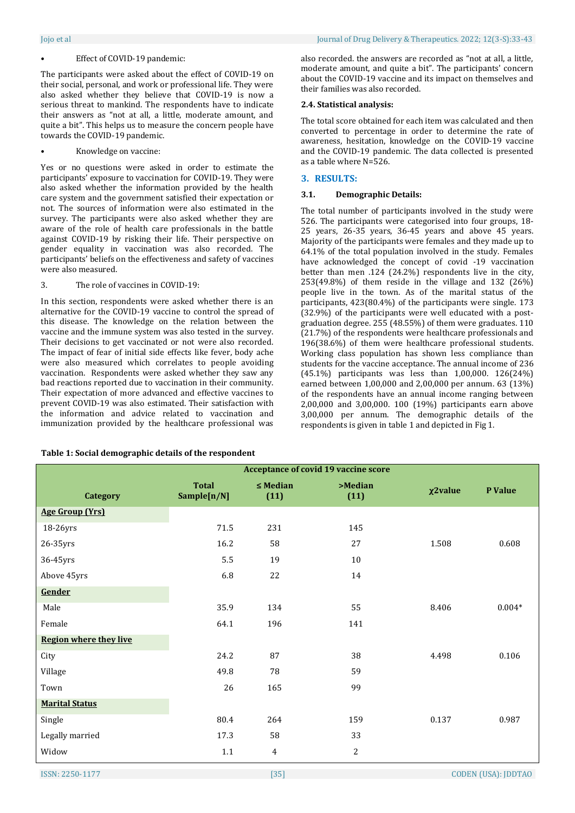#### Effect of COVID-19 pandemic:

The participants were asked about the effect of COVID-19 on their social, personal, and work or professional life. They were also asked whether they believe that COVID-19 is now a serious threat to mankind. The respondents have to indicate their answers as "not at all, a little, moderate amount, and quite a bit". This helps us to measure the concern people have towards the COVID-19 pandemic.

#### • Knowledge on vaccine:

Yes or no questions were asked in order to estimate the participants' exposure to vaccination for COVID-19. They were also asked whether the information provided by the health care system and the government satisfied their expectation or not. The sources of information were also estimated in the survey. The participants were also asked whether they are aware of the role of health care professionals in the battle against COVID-19 by risking their life. Their perspective on gender equality in vaccination was also recorded. The participants' beliefs on the effectiveness and safety of vaccines were also measured.

#### 3. The role of vaccines in COVID-19:

In this section, respondents were asked whether there is an alternative for the COVID-19 vaccine to control the spread of this disease. The knowledge on the relation between the vaccine and the immune system was also tested in the survey. Their decisions to get vaccinated or not were also recorded. The impact of fear of initial side effects like fever, body ache were also measured which correlates to people avoiding vaccination. Respondents were asked whether they saw any bad reactions reported due to vaccination in their community. Their expectation of more advanced and effective vaccines to prevent COVID-19 was also estimated. Their satisfaction with the information and advice related to vaccination and immunization provided by the healthcare professional was

#### **Table 1: Social demographic details of the respondent**

also recorded. the answers are recorded as "not at all, a little, moderate amount, and quite a bit". The participants' concern about the COVID-19 vaccine and its impact on themselves and their families was also recorded.

#### **2.4. Statistical analysis:**

The total score obtained for each item was calculated and then converted to percentage in order to determine the rate of awareness, hesitation, knowledge on the COVID-19 vaccine and the COVID-19 pandemic. The data collected is presented as a table where N=526.

#### **3. RESULTS:**

#### **3.1. Demographic Details:**

The total number of participants involved in the study were 526. The participants were categorised into four groups, 18- 25 years, 26-35 years, 36-45 years and above 45 years. Majority of the participants were females and they made up to 64.1% of the total population involved in the study. Females have acknowledged the concept of covid -19 vaccination better than men .124 (24.2%) respondents live in the city, 253(49.8%) of them reside in the village and 132 (26%) people live in the town. As of the marital status of the participants, 423(80.4%) of the participants were single. 173 (32.9%) of the participants were well educated with a postgraduation degree. 255 (48.55%) of them were graduates. 110 (21.7%) of the respondents were healthcare professionals and 196(38.6%) of them were healthcare professional students. Working class population has shown less compliance than students for the vaccine acceptance. The annual income of 236 (45.1%) participants was less than 1,00,000. 126(24%) earned between 1,00,000 and 2,00,000 per annum. 63 (13%) of the respondents have an annual income ranging between 2,00,000 and 3,00,000. 100 (19%) participants earn above 3,00,000 per annum. The demographic details of the respondents is given in table 1 and depicted in Fig 1.

|                               | <b>Acceptance of covid 19 vaccine score</b> |                       |                 |               |          |  |  |
|-------------------------------|---------------------------------------------|-----------------------|-----------------|---------------|----------|--|--|
| <b>Category</b>               | <b>Total</b><br>Sample[n/N]                 | $\leq$ Median<br>(11) | >Median<br>(11) | $\chi$ 2value | P Value  |  |  |
| <b>Age Group (Yrs)</b>        |                                             |                       |                 |               |          |  |  |
| 18-26yrs                      | 71.5                                        | 231                   | 145             |               |          |  |  |
| 26-35yrs                      | 16.2                                        | 58                    | 27              | 1.508         | 0.608    |  |  |
| 36-45yrs                      | 5.5                                         | 19                    | 10              |               |          |  |  |
| Above 45yrs                   | 6.8                                         | 22                    | 14              |               |          |  |  |
| Gender                        |                                             |                       |                 |               |          |  |  |
| Male                          | 35.9                                        | 134                   | 55              | 8.406         | $0.004*$ |  |  |
| Female                        | 64.1                                        | 196                   | 141             |               |          |  |  |
| <b>Region where they live</b> |                                             |                       |                 |               |          |  |  |
| City                          | 24.2                                        | 87                    | 38              | 4.498         | 0.106    |  |  |
| Village                       | 49.8                                        | 78                    | 59              |               |          |  |  |
| Town                          | 26                                          | 165                   | 99              |               |          |  |  |
| <b>Marital Status</b>         |                                             |                       |                 |               |          |  |  |
| Single                        | 80.4                                        | 264                   | 159             | 0.137         | 0.987    |  |  |
| Legally married               | 17.3                                        | 58                    | 33              |               |          |  |  |
| Widow                         | $1.1\,$                                     | $\overline{4}$        | $\mathbf{2}$    |               |          |  |  |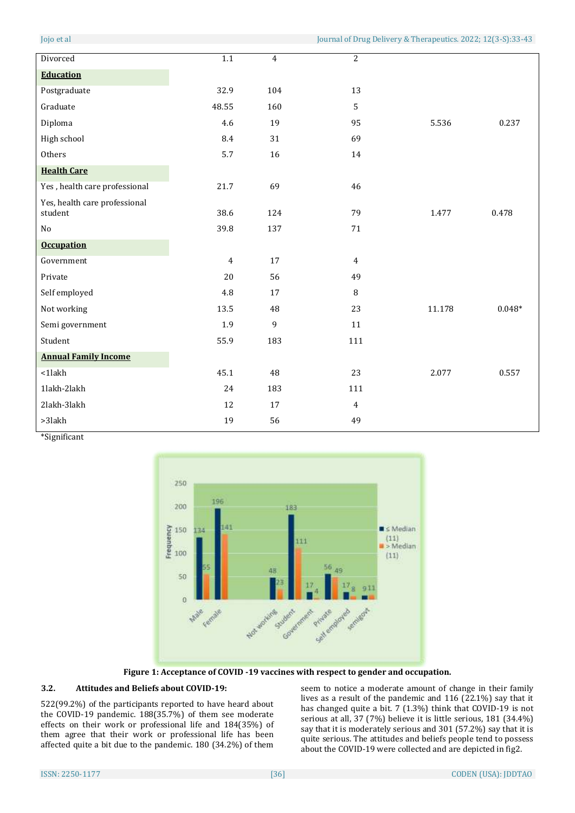| Divorced                                 | $\overline{1.1}$ | $\overline{4}$ | $\overline{c}$ |        |          |
|------------------------------------------|------------------|----------------|----------------|--------|----------|
| <b>Education</b>                         |                  |                |                |        |          |
| Postgraduate                             | 32.9             | 104            | 13             |        |          |
| Graduate                                 | 48.55            | 160            | 5              |        |          |
| Diploma                                  | 4.6              | 19             | 95             | 5.536  | 0.237    |
| High school                              | 8.4              | 31             | 69             |        |          |
| Others                                   | 5.7              | 16             | 14             |        |          |
| <b>Health Care</b>                       |                  |                |                |        |          |
| Yes, health care professional            | 21.7             | 69             | 46             |        |          |
| Yes, health care professional<br>student | 38.6             | 124            | 79             | 1.477  | 0.478    |
| No                                       | 39.8             | 137            | 71             |        |          |
| <b>Occupation</b>                        |                  |                |                |        |          |
| Government                               | $\overline{4}$   | 17             | $\overline{4}$ |        |          |
| Private                                  | 20               | 56             | 49             |        |          |
| Self employed                            | 4.8              | 17             | 8              |        |          |
| Not working                              | 13.5             | 48             | 23             | 11.178 | $0.048*$ |
| Semi government                          | 1.9              | 9              | 11             |        |          |
| Student                                  | 55.9             | 183            | 111            |        |          |
| <b>Annual Family Income</b>              |                  |                |                |        |          |
| $<$ 1 $l$ akh                            | 45.1             | 48             | 23             | 2.077  | 0.557    |
| 1lakh-2lakh                              | 24               | 183            | 111            |        |          |
| 2lakh-3lakh                              | 12               | 17             | $\overline{4}$ |        |          |
| $>3$ lakh                                | 19               | 56             | 49             |        |          |

\*Significant



**Figure 1: Acceptance of COVID -19 vaccines with respect to gender and occupation.**

#### **3.2. Attitudes and Beliefs about COVID-19:**

522(99.2%) of the participants reported to have heard about the COVID-19 pandemic. 188(35.7%) of them see moderate effects on their work or professional life and 184(35%) of them agree that their work or professional life has been affected quite a bit due to the pandemic. 180 (34.2%) of them

seem to notice a moderate amount of change in their family lives as a result of the pandemic and 116 (22.1%) say that it has changed quite a bit. 7 (1.3%) think that COVID-19 is not serious at all, 37 (7%) believe it is little serious, 181 (34.4%) say that it is moderately serious and 301 (57.2%) say that it is quite serious. The attitudes and beliefs people tend to possess about the COVID-19 were collected and are depicted in fig2.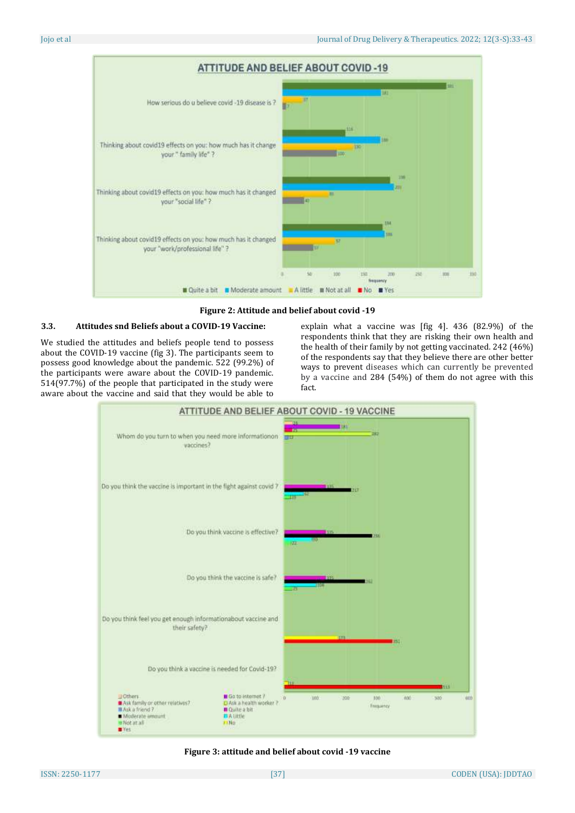

**Figure 2: Attitude and belief about covid -19**

## **3.3. Attitudes snd Beliefs about a COVID-19 Vaccine:**

We studied the attitudes and beliefs people tend to possess about the COVID-19 vaccine (fig 3). The participants seem to possess good knowledge about the pandemic. 522 (99.2%) of the participants were aware about the COVID-19 pandemic. 514(97.7%) of the people that participated in the study were aware about the vaccine and said that they would be able to

explain what a vaccine was [fig 4]. 436 (82.9%) of the respondents think that they are risking their own health and the health of their family by not getting vaccinated. 242 (46%) of the respondents say that they believe there are other better ways to prevent diseases which can currently be prevented by a vaccine and 284 (54%) of them do not agree with this fact.



#### **Figure 3: attitude and belief about covid -19 vaccine**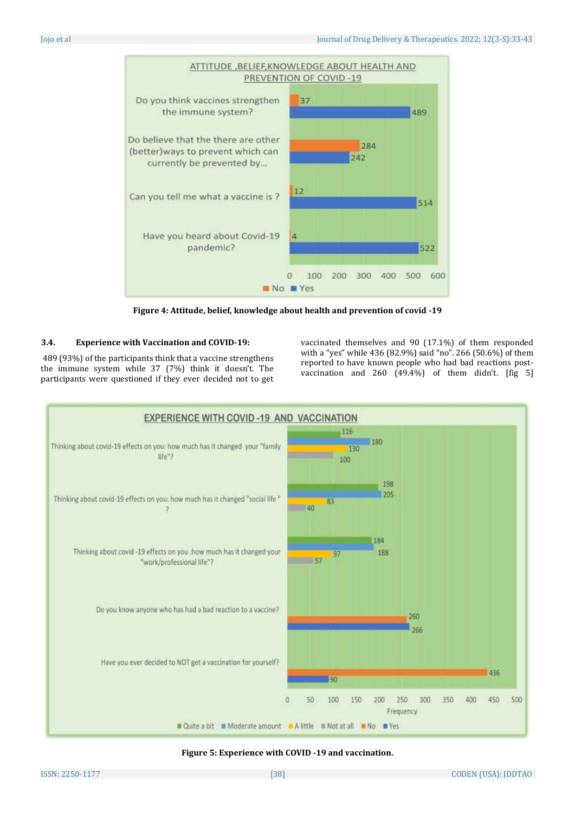

**Figure 4: Attitude, belief, knowledge about health and prevention of covid -19**

### **3.4. Experience with Vaccination and COVID-19:**

489 (93%) of the participants think that a vaccine strengthens the immune system while 37 (7%) think it doesn't. The participants were questioned if they ever decided not to get vaccinated themselves and 90 (17.1%) of them responded with a "yes" while 436 (82.9%) said "no". 266 (50.6%) of them reported to have known people who had bad reactions postvaccination and 260 (49.4%) of them didn't. [fig 5]



**Figure 5: Experience with COVID -19 and vaccination.**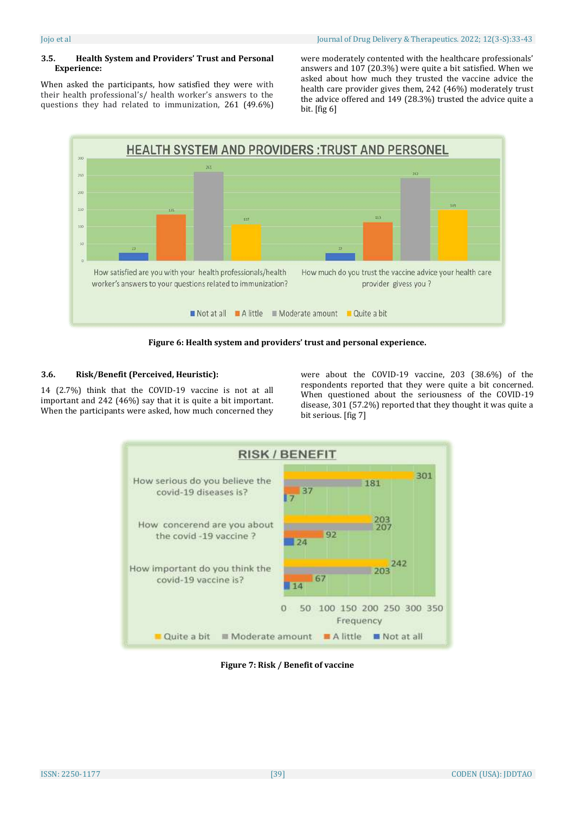### **3.5. Health System and Providers' Trust and Personal Experience:**

When asked the participants, how satisfied they were with their health professional's/ health worker's answers to the questions they had related to immunization, 261 (49.6%) were moderately contented with the healthcare professionals' answers and 107 (20.3%) were quite a bit satisfied. When we asked about how much they trusted the vaccine advice the health care provider gives them, 242 (46%) moderately trust the advice offered and 149 (28.3%) trusted the advice quite a bit. [fig 6]



**Figure 6: Health system and providers' trust and personal experience.**

## **3.6. Risk/Benefit (Perceived, Heuristic):**

14 (2.7%) think that the COVID-19 vaccine is not at all important and 242 (46%) say that it is quite a bit important. When the participants were asked, how much concerned they were about the COVID-19 vaccine, 203 (38.6%) of the respondents reported that they were quite a bit concerned. When questioned about the seriousness of the COVID-19 disease, 301 (57.2%) reported that they thought it was quite a bit serious. [fig 7]



**Figure 7: Risk / Benefit of vaccine**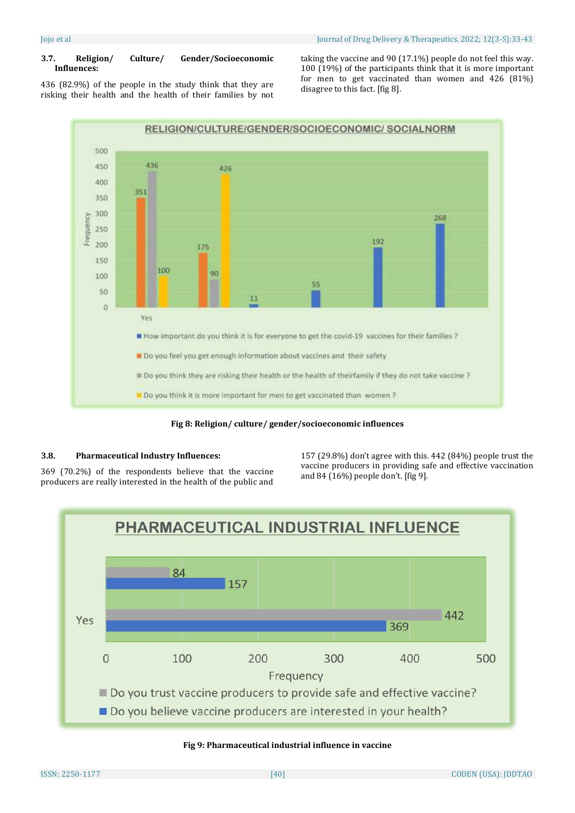## **3.7. Religion/ Culture/ Gender/Socioeconomic Influences:**

436 (82.9%) of the people in the study think that they are risking their health and the health of their families by not taking the vaccine and 90 (17.1%) people do not feel this way. 100 (19%) of the participants think that it is more important for men to get vaccinated than women and 426 (81%) disagree to this fact. [fig 8].



**Fig 8: Religion/ culture/ gender/socioeconomic influences**

## **3.8. Pharmaceutical Industry Influences:**

369 (70.2%) of the respondents believe that the vaccine producers are really interested in the health of the public and 157 (29.8%) don't agree with this. 442 (84%) people trust the vaccine producers in providing safe and effective vaccination and 84 (16%) people don't. [fig 9].



## **Fig 9: Pharmaceutical industrial influence in vaccine**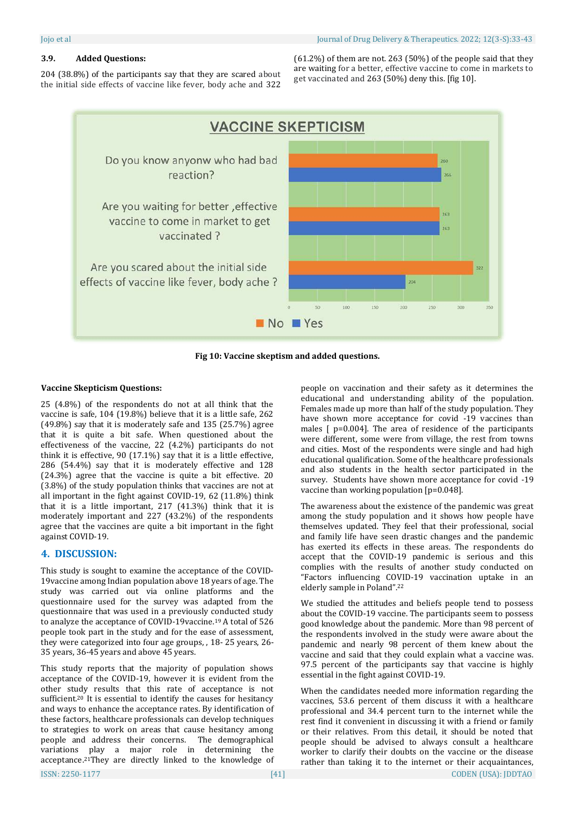#### **3.9. Added Questions:**

204 (38.8%) of the participants say that they are scared about the initial side effects of vaccine like fever, body ache and 322

(61.2%) of them are not. 263 (50%) of the people said that they are waiting for a better, effective vaccine to come in markets to get vaccinated and 263 (50%) deny this. [fig 10].



**Fig 10: Vaccine skeptism and added questions.**

#### **Vaccine Skepticism Questions:**

25 (4.8%) of the respondents do not at all think that the vaccine is safe, 104 (19.8%) believe that it is a little safe, 262 (49.8%) say that it is moderately safe and 135 (25.7%) agree that it is quite a bit safe. When questioned about the effectiveness of the vaccine, 22 (4.2%) participants do not think it is effective, 90 (17.1%) say that it is a little effective, 286 (54.4%) say that it is moderately effective and 128 (24.3%) agree that the vaccine is quite a bit effective. 20 (3.8%) of the study population thinks that vaccines are not at all important in the fight against COVID-19, 62 (11.8%) think that it is a little important, 217 (41.3%) think that it is moderately important and 227 (43.2%) of the respondents agree that the vaccines are quite a bit important in the fight against COVID-19.

#### **4. DISCUSSION:**

This study is sought to examine the acceptance of the COVID-19vaccine among Indian population above 18 years of age. The study was carried out via online platforms and the questionnaire used for the survey was adapted from the questionnaire that was used in a previously conducted study to analyze the acceptance of COVID-19vaccine. <sup>19</sup> A total of 526 people took part in the study and for the ease of assessment, they were categorized into four age groups, , 18- 25 years, 26- 35 years, 36-45 years and above 45 years.

This study reports that the majority of population shows acceptance of the COVID-19, however it is evident from the other study results that this rate of acceptance is not sufficient.<sup>20</sup> It is essential to identify the causes for hesitancy and ways to enhance the acceptance rates. By identification of these factors, healthcare professionals can develop techniques to strategies to work on areas that cause hesitancy among people and address their concerns. The demographical variations play a major role in determining the acceptance. <sup>21</sup>They are directly linked to the knowledge of people on vaccination and their safety as it determines the educational and understanding ability of the population. Females made up more than half of the study population. They have shown more acceptance for covid -19 vaccines than males [ p=0.004]. The area of residence of the participants were different, some were from village, the rest from towns and cities. Most of the respondents were single and had high educational qualification. Some of the healthcare professionals and also students in the health sector participated in the survey. Students have shown more acceptance for covid -19 vaccine than working population [p=0.048].

The awareness about the existence of the pandemic was great among the study population and it shows how people have themselves updated. They feel that their professional, social and family life have seen drastic changes and the pandemic has exerted its effects in these areas. The respondents do accept that the COVID-19 pandemic is serious and this complies with the results of another study conducted on "Factors influencing COVID-19 vaccination uptake in an elderly sample in Poland". 22

We studied the attitudes and beliefs people tend to possess about the COVID-19 vaccine. The participants seem to possess good knowledge about the pandemic. More than 98 percent of the respondents involved in the study were aware about the pandemic and nearly 98 percent of them knew about the vaccine and said that they could explain what a vaccine was. 97.5 percent of the participants say that vaccine is highly essential in the fight against COVID-19.

**ISSN: 2250-1177 CODEN (USA): IDDTAO** When the candidates needed more information regarding the vaccines, 53.6 percent of them discuss it with a healthcare professional and 34.4 percent turn to the internet while the rest find it convenient in discussing it with a friend or family or their relatives. From this detail, it should be noted that people should be advised to always consult a healthcare worker to clarify their doubts on the vaccine or the disease rather than taking it to the internet or their acquaintances,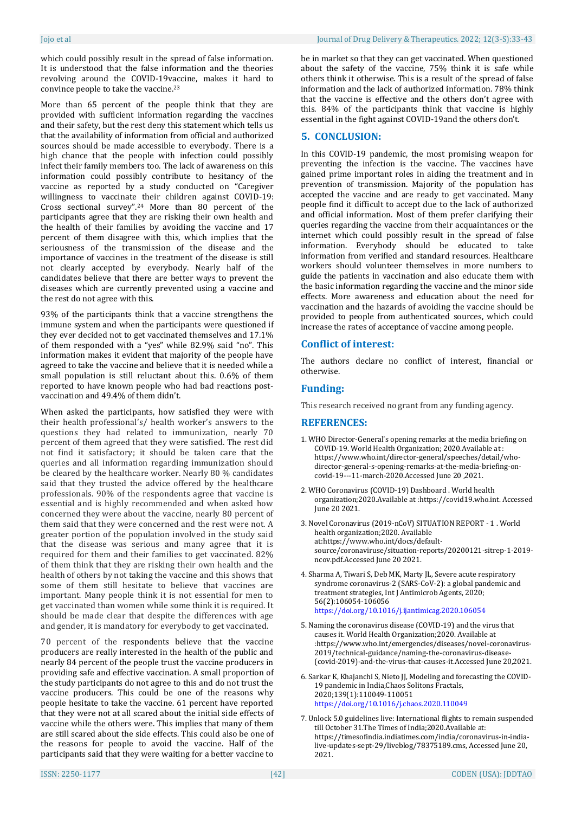which could possibly result in the spread of false information. It is understood that the false information and the theories revolving around the COVID-19vaccine, makes it hard to convince people to take the vaccine. 23

More than 65 percent of the people think that they are provided with sufficient information regarding the vaccines and their safety, but the rest deny this statement which tells us that the availability of information from official and authorized sources should be made accessible to everybody. There is a high chance that the people with infection could possibly infect their family members too. The lack of awareness on this information could possibly contribute to hesitancy of the vaccine as reported by a study conducted on "Caregiver willingness to vaccinate their children against COVID-19: Cross sectional survey". <sup>24</sup> More than 80 percent of the participants agree that they are risking their own health and the health of their families by avoiding the vaccine and 17 percent of them disagree with this, which implies that the seriousness of the transmission of the disease and the importance of vaccines in the treatment of the disease is still not clearly accepted by everybody. Nearly half of the candidates believe that there are better ways to prevent the diseases which are currently prevented using a vaccine and the rest do not agree with this.

93% of the participants think that a vaccine strengthens the immune system and when the participants were questioned if they ever decided not to get vaccinated themselves and 17.1% of them responded with a "yes" while 82.9% said "no". This information makes it evident that majority of the people have agreed to take the vaccine and believe that it is needed while a small population is still reluctant about this. 0.6% of them reported to have known people who had bad reactions postvaccination and 49.4% of them didn't.

When asked the participants, how satisfied they were with their health professional's/ health worker's answers to the questions they had related to immunization, nearly 70 percent of them agreed that they were satisfied. The rest did not find it satisfactory; it should be taken care that the queries and all information regarding immunization should be cleared by the healthcare worker. Nearly 80 % candidates said that they trusted the advice offered by the healthcare professionals. 90% of the respondents agree that vaccine is essential and is highly recommended and when asked how concerned they were about the vaccine, nearly 80 percent of them said that they were concerned and the rest were not. A greater portion of the population involved in the study said that the disease was serious and many agree that it is required for them and their families to get vaccinated. 82% of them think that they are risking their own health and the health of others by not taking the vaccine and this shows that some of them still hesitate to believe that vaccines are important. Many people think it is not essential for men to get vaccinated than women while some think it is required. It should be made clear that despite the differences with age and gender, it is mandatory for everybody to get vaccinated.

70 percent of the respondents believe that the vaccine producers are really interested in the health of the public and nearly 84 percent of the people trust the vaccine producers in providing safe and effective vaccination. A small proportion of the study participants do not agree to this and do not trust the vaccine producers. This could be one of the reasons why people hesitate to take the vaccine. 61 percent have reported that they were not at all scared about the initial side effects of vaccine while the others were. This implies that many of them are still scared about the side effects. This could also be one of the reasons for people to avoid the vaccine. Half of the participants said that they were waiting for a better vaccine to

be in market so that they can get vaccinated. When questioned about the safety of the vaccine, 75% think it is safe while others think it otherwise. This is a result of the spread of false information and the lack of authorized information. 78% think that the vaccine is effective and the others don't agree with this. 84% of the participants think that vaccine is highly essential in the fight against COVID-19and the others don't.

## **5. CONCLUSION:**

In this COVID-19 pandemic, the most promising weapon for preventing the infection is the vaccine. The vaccines have gained prime important roles in aiding the treatment and in prevention of transmission. Majority of the population has accepted the vaccine and are ready to get vaccinated. Many people find it difficult to accept due to the lack of authorized and official information. Most of them prefer clarifying their queries regarding the vaccine from their acquaintances or the internet which could possibly result in the spread of false information. Everybody should be educated to take information from verified and standard resources. Healthcare workers should volunteer themselves in more numbers to guide the patients in vaccination and also educate them with the basic information regarding the vaccine and the minor side effects. More awareness and education about the need for vaccination and the hazards of avoiding the vaccine should be provided to people from authenticated sources, which could increase the rates of acceptance of vaccine among people.

## **Conflict of interest:**

The authors declare no conflict of interest, financial or otherwise.

## **Funding:**

This research received no grant from any funding agency.

## **REFERENCES:**

- 1. WHO Director-General's opening remarks at the media briefing on COVID-19. World Health Organization; 2020.Available at : https://www.who.int/director-general/speeches/detail/whodirector-general-s-opening-remarks-at-the-media-briefing-oncovid-19---11-march-2020.Accessed June 20 ,2021.
- 2. WHO Coronavirus (COVID-19) Dashboard . World health organization;2020.Available at :https://covid19.who.int. Accessed June 20 2021.
- 3. Novel Coronavirus (2019-nCoV) SITUATION REPORT 1 . World health organization;2020. Available at:https://www.who.int/docs/defaultsource/coronaviruse/situation-reports/20200121-sitrep-1-2019 ncov.pdf.Accessed June 20 2021.
- 4. Sharma A, Tiwari S, Deb MK, Marty JL, Severe acute respiratory syndrome coronavirus-2 (SARS-CoV-2): a global pandemic and treatment strategies, Int J Antimicrob Agents, 2020; 56(2):106054-106056 <https://doi.org/10.1016/j.ijantimicag.2020.106054>
- 5. Naming the coronavirus disease (COVID-19) and the virus that causes it. World Health Organization;2020. Available at :https://www.who.int/emergencies/diseases/novel-coronavirus-2019/technical-guidance/naming-the-coronavirus-disease- (covid-2019)-and-the-virus-that-causes-it.Accessed June 20,2021.
- 6. Sarkar K, Khajanchi S, Nieto JJ, Modeling and forecasting the COVID-19 pandemic in India,Chaos Solitons Fractals, 2020;139(1):110049-110051 <https://doi.org/10.1016/j.chaos.2020.110049>
- 7. Unlock 5.0 guidelines live: International flights to remain suspended till October 31.The Times of India;2020.Available at: https://timesofindia.indiatimes.com/india/coronavirus-in-indialive-updates-sept-29/liveblog/78375189.cms, Accessed June 20, 2021.